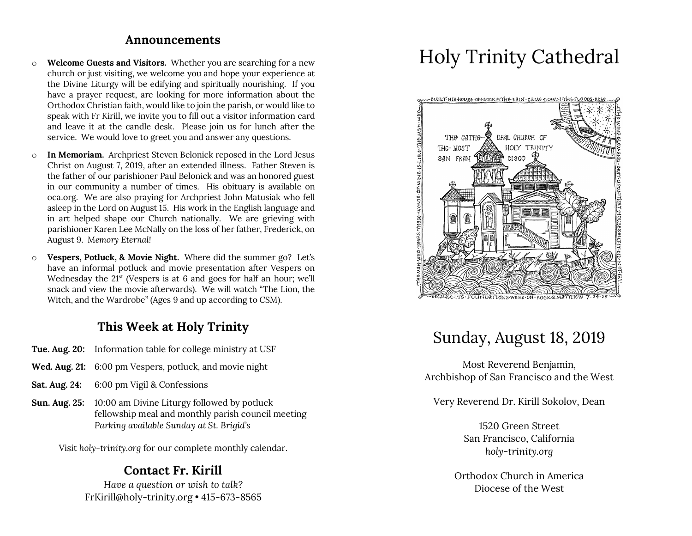#### **Announcements**

- o **Welcome Guests and Visitors.** Whether you are searching for a new church or just visiting, we welcome you and hope your experience at the Divine Liturgy will be edifying and spiritually nourishing. If you have a prayer request, are looking for more information about the Orthodox Christian faith, would like to join the parish, or would like to speak with Fr Kirill, we invite you to fill out a visitor information card and leave it at the candle desk. Please join us for lunch after the service. We would love to greet you and answer any questions.
- o **In Memoriam.** Archpriest Steven Belonick reposed in the Lord Jesus Christ on August 7, 2019, after an extended illness. Father Steven is the father of our parishioner Paul Belonick and was an honored guest in our community a number of times. His obituary is available on oca.org. We are also praying for Archpriest John Matusiak who fell asleep in the Lord on August 15. His work in the English language and in art helped shape our Church nationally. We are grieving with parishioner Karen Lee McNally on the loss of her father, Frederick, on August 9. M*emory Eternal!*
- o **Vespers, Potluck, & Movie Night.** Where did the summer go? Let's have an informal potluck and movie presentation after Vespers on Wednesday the 21<sup>st</sup> (Vespers is at 6 and goes for half an hour; we'll snack and view the movie afterwards). We will watch "The Lion, the Witch, and the Wardrobe" (Ages 9 and up according to CSM).

### **This Week at Holy Trinity**

- **Tue. Aug. 20:** Information table for college ministry at USF
- **Wed. Aug. 21:** 6:00 pm Vespers, potluck, and movie night
- **Sat. Aug. 24:** 6:00 pm Vigil & Confessions
- **Sun. Aug. 25:** 10:00 am Divine Liturgy followed by potluck fellowship meal and monthly parish council meeting *Parking available Sunday at St. Brigid's*

Visit *holy-trinity.org* for our complete monthly calendar.

### **Contact Fr. Kirill**

*Have a question or wish to talk?* FrKirill@holy-trinity.org • 415-673-8565

# Holy Trinity Cathedral



# Sunday, August 18, 2019

Most Reverend Benjamin, Archbishop of San Francisco and the West

Very Reverend Dr. Kirill Sokolov, Dean

1520 Green Street San Francisco, California *holy-trinity.org*

Orthodox Church in America Diocese of the West